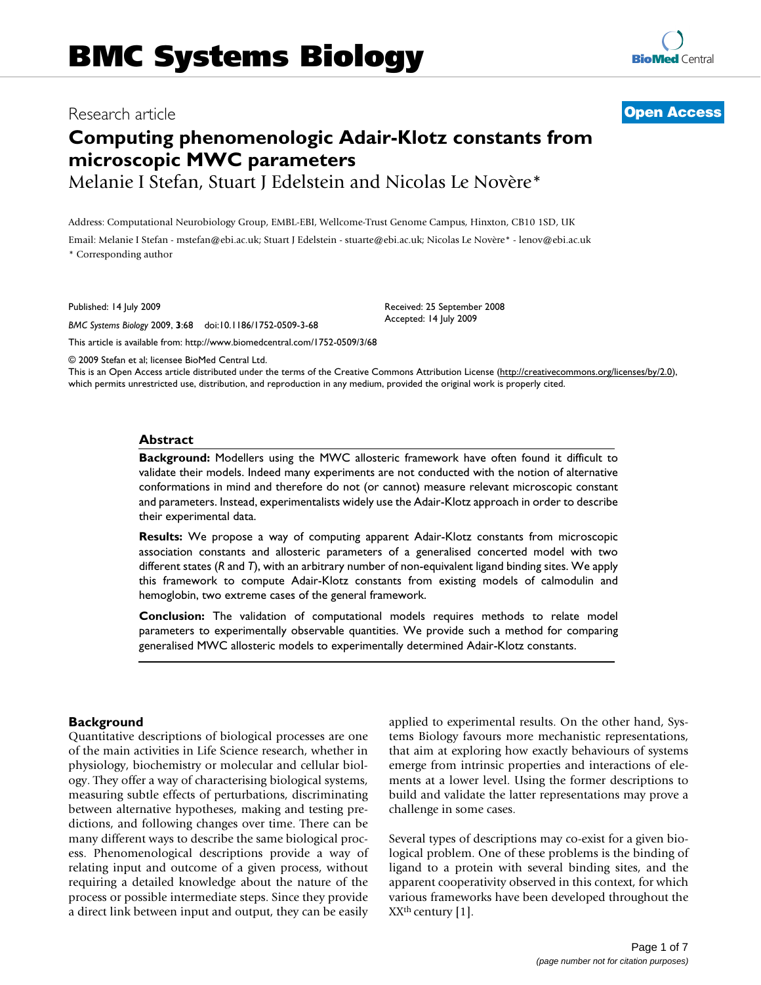# Research article **[Open Access](http://www.biomedcentral.com/info/about/charter/)**

# **Computing phenomenologic Adair-Klotz constants from microscopic MWC parameters**

Melanie I Stefan, Stuart J Edelstein and Nicolas Le Novère\*

Address: Computational Neurobiology Group, EMBL-EBI, Wellcome-Trust Genome Campus, Hinxton, CB10 1SD, UK

Email: Melanie I Stefan - mstefan@ebi.ac.uk; Stuart J Edelstein - stuarte@ebi.ac.uk; Nicolas Le Novère\* - lenov@ebi.ac.uk \* Corresponding author

Published: 14 July 2009

*BMC Systems Biology* 2009, **3**:68 doi:10.1186/1752-0509-3-68

Received: 25 September 2008 Accepted: 14 July 2009

[This article is available from: http://www.biomedcentral.com/1752-0509/3/68](http://www.biomedcentral.com/1752-0509/3/68)

© 2009 Stefan et al; licensee BioMed Central Ltd.

This is an Open Access article distributed under the terms of the Creative Commons Attribution License [\(http://creativecommons.org/licenses/by/2.0\)](http://creativecommons.org/licenses/by/2.0), which permits unrestricted use, distribution, and reproduction in any medium, provided the original work is properly cited.

#### **Abstract**

**Background:** Modellers using the MWC allosteric framework have often found it difficult to validate their models. Indeed many experiments are not conducted with the notion of alternative conformations in mind and therefore do not (or cannot) measure relevant microscopic constant and parameters. Instead, experimentalists widely use the Adair-Klotz approach in order to describe their experimental data.

**Results:** We propose a way of computing apparent Adair-Klotz constants from microscopic association constants and allosteric parameters of a generalised concerted model with two different states (*R* and *T*), with an arbitrary number of non-equivalent ligand binding sites. We apply this framework to compute Adair-Klotz constants from existing models of calmodulin and hemoglobin, two extreme cases of the general framework.

**Conclusion:** The validation of computational models requires methods to relate model parameters to experimentally observable quantities. We provide such a method for comparing generalised MWC allosteric models to experimentally determined Adair-Klotz constants.

# **Background**

Quantitative descriptions of biological processes are one of the main activities in Life Science research, whether in physiology, biochemistry or molecular and cellular biology. They offer a way of characterising biological systems, measuring subtle effects of perturbations, discriminating between alternative hypotheses, making and testing predictions, and following changes over time. There can be many different ways to describe the same biological process. Phenomenological descriptions provide a way of relating input and outcome of a given process, without requiring a detailed knowledge about the nature of the process or possible intermediate steps. Since they provide a direct link between input and output, they can be easily applied to experimental results. On the other hand, Systems Biology favours more mechanistic representations, that aim at exploring how exactly behaviours of systems emerge from intrinsic properties and interactions of elements at a lower level. Using the former descriptions to build and validate the latter representations may prove a challenge in some cases.

Several types of descriptions may co-exist for a given biological problem. One of these problems is the binding of ligand to a protein with several binding sites, and the apparent cooperativity observed in this context, for which various frameworks have been developed throughout the  $XX<sup>th</sup>$  century [1].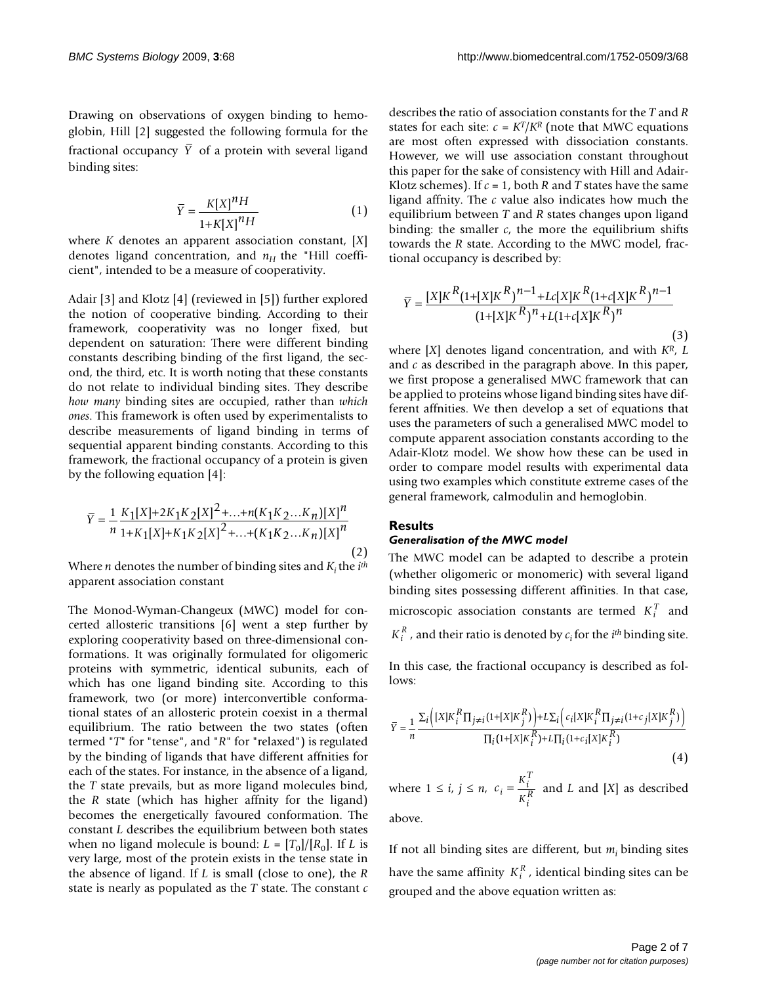Drawing on observations of oxygen binding to hemoglobin, Hill [2] suggested the following formula for the fractional occupancy Y of a protein with several ligand binding sites:

$$
\overline{Y} = \frac{K[X]^n H}{1 + K[X]^n H} \tag{1}
$$

where *K* denotes an apparent association constant, [*X*] denotes ligand concentration, and  $n_H$  the "Hill coefficient", intended to be a measure of cooperativity.

Adair [3] and Klotz [4] (reviewed in [5]) further explored the notion of cooperative binding. According to their framework, cooperativity was no longer fixed, but dependent on saturation: There were different binding constants describing binding of the first ligand, the second, the third, etc. It is worth noting that these constants do not relate to individual binding sites. They describe *how many* binding sites are occupied, rather than *which ones*. This framework is often used by experimentalists to describe measurements of ligand binding in terms of sequential apparent binding constants. According to this framework, the fractional occupancy of a protein is given by the following equation [4]:

$$
\overline{Y} = \frac{1}{n} \frac{K_1[X] + 2K_1K_2[X]^2 + \dots + n(K_1K_2 \dots K_n)[X]^n}{1 + K_1[X] + K_1K_2[X]^2 + \dots + (K_1K_2 \dots K_n)[X]^n}
$$
\n(2)

Where *n* denotes the number of binding sites and *Ki* the *ith* apparent association constant

The Monod-Wyman-Changeux (MWC) model for concerted allosteric transitions [6] went a step further by exploring cooperativity based on three-dimensional conformations. It was originally formulated for oligomeric proteins with symmetric, identical subunits, each of which has one ligand binding site. According to this framework, two (or more) interconvertible conformational states of an allosteric protein coexist in a thermal equilibrium. The ratio between the two states (often termed "*T*" for "tense", and "*R*" for "relaxed") is regulated by the binding of ligands that have different affnities for each of the states. For instance, in the absence of a ligand, the *T* state prevails, but as more ligand molecules bind, the *R* state (which has higher affnity for the ligand) becomes the energetically favoured conformation. The constant *L* describes the equilibrium between both states when no ligand molecule is bound:  $L = [T_0]/[R_0]$ . If *L* is very large, most of the protein exists in the tense state in the absence of ligand. If *L* is small (close to one), the *R* state is nearly as populated as the *T* state. The constant *c*

describes the ratio of association constants for the *T* and *R* states for each site:  $c = K^T/K^R$  (note that MWC equations are most often expressed with dissociation constants. However, we will use association constant throughout this paper for the sake of consistency with Hill and Adair-Klotz schemes). If  $c = 1$ , both  $R$  and  $T$  states have the same ligand affnity. The *c* value also indicates how much the equilibrium between *T* and *R* states changes upon ligand binding: the smaller  $c$ , the more the equilibrium shifts towards the *R* state. According to the MWC model, fractional occupancy is described by:

$$
\overline{Y} = \frac{[X]K^R(1+[X]K^R)^{n-1} + Lc[X]K^R(1+c[X]K^R)^{n-1}}{(1+[X]K^R)^n + L(1+c[X]K^R)^n}
$$
\n(3)

where [*X*] denotes ligand concentration, and with *KR*, *L* and *c* as described in the paragraph above. In this paper, we first propose a generalised MWC framework that can be applied to proteins whose ligand binding sites have different affnities. We then develop a set of equations that uses the parameters of such a generalised MWC model to compute apparent association constants according to the Adair-Klotz model. We show how these can be used in order to compare model results with experimental data using two examples which constitute extreme cases of the general framework, calmodulin and hemoglobin.

#### **Results**

#### *Generalisation of the MWC model*

The MWC model can be adapted to describe a protein (whether oligomeric or monomeric) with several ligand binding sites possessing different affinities. In that case, microscopic association constants are termed  $K_i^T$  and  $K_i^R$ , and their ratio is denoted by  $c_i$  for the  $i^{th}$  binding site.

In this case, the fractional occupancy is described as follows:

$$
\overline{Y} = \frac{1}{n} \frac{\Sigma_i \left( \left[ X \middle| K_i^R \Pi_{j \neq i} (1 + \left[ X \middle| K_j^R \right] ) \right] + L \Sigma_i \left( c_i \left[ X \middle| K_i^R \Pi_{j \neq i} (1 + c_j \left[ X \middle| K_j^R \right] ) \right] \right)}{\Pi_i (1 + \left[ X \middle| K_i^R \right) + L \Pi_i (1 + c_i \left[ X \middle| K_i^R \right] )} \right)} \tag{4}
$$

where  $1 \le i, j \le n, c_i = \frac{K_i^T}{kR}$  and *L* and [*X*] as described  $=\frac{r_i}{K_i^R}$ 

above.

If not all binding sites are different, but *mi* binding sites have the same affinity  $K_i^R$ , identical binding sites can be grouped and the above equation written as: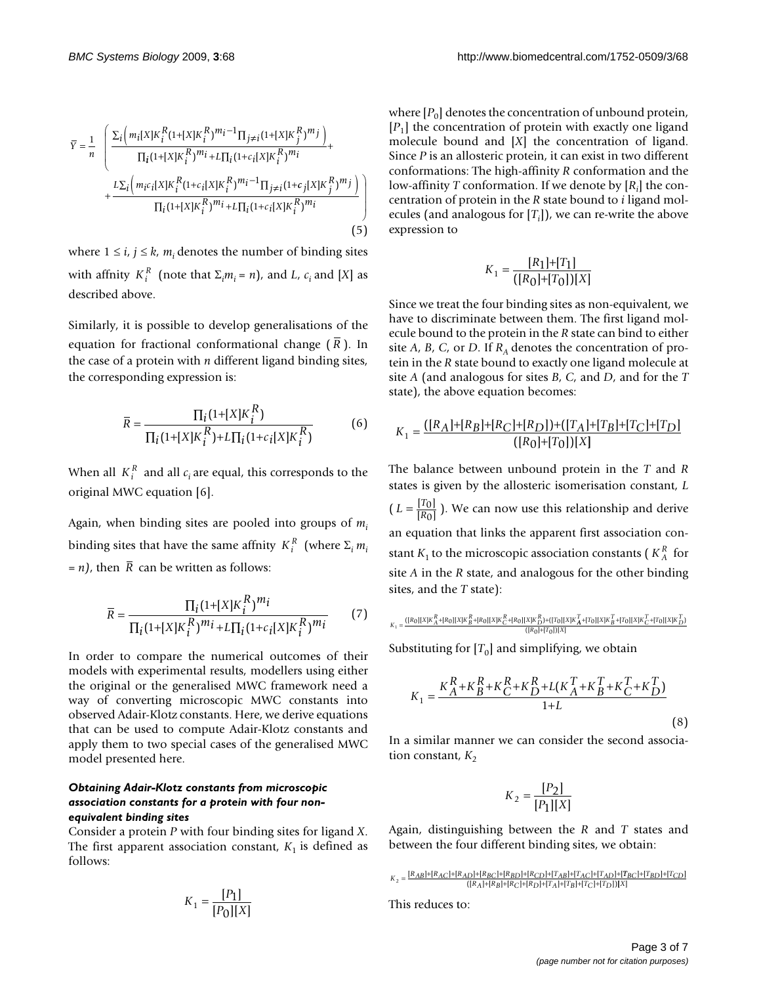$$
\bar{Y} = \frac{1}{n} \left( \frac{\sum_{i} \left( m_{i}[X]K_{i}^{R}(1 + [X]K_{i}^{R})^{m_{i}-1} \Pi_{j\neq i}(1 + [X]K_{j}^{R})^{m_{j}} \right)}{\prod_{i} (1 + [X]K_{i}^{R})^{m_{i}} + L\prod_{i} (1 + c_{i}[X]K_{i}^{R})^{m_{i}} + \frac{L\sum_{i} \left( m_{i}c_{i}[X]K_{i}^{R}(1 + c_{i}[X]K_{i}^{R})^{m_{i}-1} \Pi_{j\neq i}(1 + c_{j}[X]K_{j}^{R})^{m_{j}} \right)}{\prod_{i} (1 + [X]K_{i}^{R})^{m_{i}} + L\prod_{i} (1 + c_{i}[X]K_{i}^{R})^{m_{i}} \right)} \right)
$$
\n(5)

where  $1 \le i, j \le k, m_i$  denotes the number of binding sites with affnity  $K_i^R$  (note that  $\Sigma_i m_i = n$ ), and *L*,  $c_i$  and [*X*] as described above.

Similarly, it is possible to develop generalisations of the equation for fractional conformational change (R). In the case of a protein with *n* different ligand binding sites, the corresponding expression is:

$$
\overline{R} = \frac{\prod_{i} (1 + [X]K_{i}^{R})}{\prod_{i} (1 + [X]K_{i}^{R}) + L\prod_{i} (1 + c_{i}[X]K_{i}^{R})}
$$
(6)

When all  $K_i^R$  and all  $c_i$  are equal, this corresponds to the original MWC equation [6].

Again, when binding sites are pooled into groups of *mi* binding sites that have the same affnity  $K_i^R$  (where  $\Sigma_i m_i$  $= n$ , then R can be written as follows:

$$
\overline{R} = \frac{\prod_{i} (1 + [X]K_i^R)^{m_i}}{\prod_{i} (1 + [X]K_i^R)^{m_i} + L\prod_{i} (1 + c_i[X]K_i^R)^{m_i}}
$$
(7)

In order to compare the numerical outcomes of their models with experimental results, modellers using either the original or the generalised MWC framework need a way of converting microscopic MWC constants into observed Adair-Klotz constants. Here, we derive equations that can be used to compute Adair-Klotz constants and apply them to two special cases of the generalised MWC model presented here.

#### *Obtaining Adair-Klotz constants from microscopic association constants for a protein with four nonequivalent binding sites*

Consider a protein *P* with four binding sites for ligand *X*. The first apparent association constant,  $K_1$  is defined as follows:

$$
K_1=\frac{[P_1]}{[P_0][X]}
$$

where  $[P_0]$  denotes the concentration of unbound protein,  $[P_1]$  the concentration of protein with exactly one ligand molecule bound and [*X*] the concentration of ligand. Since *P* is an allosteric protein, it can exist in two different conformations: The high-affinity *R* conformation and the low-affinity *T* conformation. If we denote by [*Ri* ] the concentration of protein in the *R* state bound to *i* ligand molecules (and analogous for [*Ti* ]), we can re-write the above expression to

$$
K_1 = \frac{[R_1] + [T_1]}{([R_0] + [T_0])[X]}
$$

Since we treat the four binding sites as non-equivalent, we have to discriminate between them. The first ligand molecule bound to the protein in the *R* state can bind to either site  $A$ ,  $B$ ,  $C$ , or  $D$ . If  $R<sub>A</sub>$  denotes the concentration of protein in the *R* state bound to exactly one ligand molecule at site *A* (and analogous for sites *B*, *C*, and *D*, and for the *T* state), the above equation becomes:

$$
K_1 = \frac{([R_A]+[R_B]+[R_C]+[R_D])+([T_A]+[T_B]+[T_C]+[T_D]}{([R_0]+[T_0])[X]}
$$

The balance between unbound protein in the *T* and *R* states is given by the allosteric isomerisation constant, *L*  $(L = \frac{[T_0]}{[R_0]} )$ . We can now use this relationship and derive an equation that links the apparent first association constant  $K_1$  to the microscopic association constants ( $K_A^R$  for site *A* in the *R* state, and analogous for the other binding sites, and the *T* state):  $\overline{0}$ 0

$$
K_1=\frac{([R_0][X]K_{A}^R+[R_0][X]K_{B}^R+[R_0][X]K_{C}^R+[R_0][X]K_{D}^R]+([T_0][X]K_{A}^T+[T_0][X]K_{B}^T+[T_0][X]K_{C}^T+[T_0][X]K_{D}^T]}{([R_0]+[T_0])[X]}
$$

Substituting for  $[T_0]$  and simplifying, we obtain

$$
K_{1} = \frac{K_{A}^{R} + K_{B}^{R} + K_{C}^{R} + K_{D}^{R} + L(K_{A}^{T} + K_{B}^{T} + K_{C}^{T} + K_{D}^{T})}{1 + L}
$$
\n(8)

In a similar manner we can consider the second association constant,  $K_2$ 

$$
K_2 = \frac{[P_2]}{[P_1][X]}
$$

Again, distinguishing between the *R* and *T* states and between the four different binding sites, we obtain:

This reduces to:

 $K_2 = \frac{[R_{AB}] + [R_{AC}] + [R_{BD}] + [R_{BD}] + [R_{CD}] + [T_{AB}] + [T_{AC}] + [T_{BD}] + [T_{BD}] + [T_{CD}]}{([R_A] + [R_B] + [R_C] + [R_D] + [T_A] + [T_B] + [T_C] + [T_D])[X]}$  $|$ + $[T_{BD}]$ + $[T_{CD}]$  $([R_A]+[R_B]+[R_C]+[R_D]+[T_A]+[T_B]+[T_C]+[T_D])$ + $[T_{BD}]+$  $+[R_B]+[R_C]+[R_D]+[T_A]+[T_B]+[T_C]+[T_D])[X]$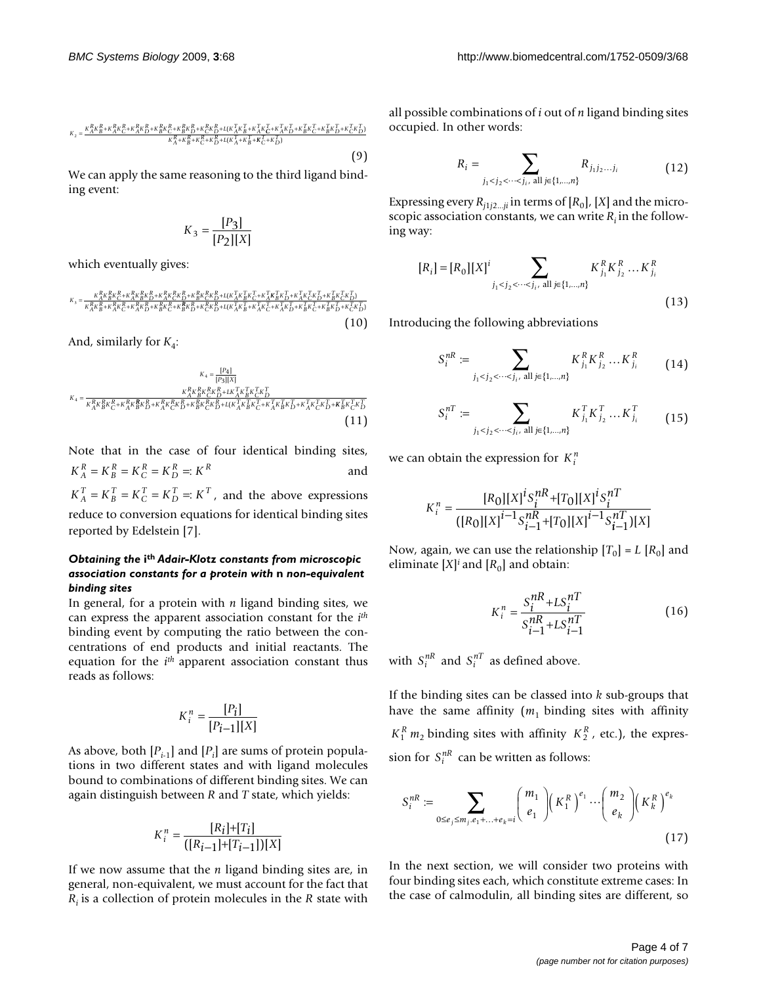$$
\kappa_2 = \frac{\kappa_A^R \kappa_B^R + \kappa_A^R \kappa_C^R + \kappa_A^R \kappa_D^R + \kappa_B^R \kappa_C^R + \kappa_C^R \kappa_D^R + \kappa ( \kappa_A^T \kappa_B^T + \kappa_A^T \kappa_C^T + \kappa_A^T \kappa_C^T + \kappa_B^T \kappa_C^T + \kappa_C^T \kappa_D^T)}{\kappa_A^R + \kappa_B^R + \kappa_C^R + \kappa_D^R + \kappa ( \kappa_A^T \kappa_B^T + \kappa_C^T + \kappa_D^T)} \tag{9}
$$

We can apply the same reasoning to the third ligand binding event:

$$
K_3 = \frac{[P_3]}{[P_2][X]}
$$

which eventually gives:

$$
\kappa_{s} = \frac{\kappa_{A}^{R}\kappa_{B}^{R}\kappa_{C}^{R}+\kappa_{A}^{R}\kappa_{B}^{R}\kappa_{D}^{R}+\kappa_{A}^{R}\kappa_{C}^{R}\kappa_{D}^{R}+\kappa_{B}^{R}\kappa_{C}^{R}\kappa_{D}^{R}+L(\kappa_{A}^{R}\kappa_{B}^{R}\kappa_{C}^{R}+\kappa_{A}^{R}\kappa_{B}^{R}\kappa_{D}^{R}+\kappa_{A}^{R}\kappa_{C}^{R}\kappa_{D}^{R}+\kappa_{A}^{R}\kappa_{B}^{R}\kappa_{D}^{R}+\kappa_{A}^{R}\kappa_{B}^{R}\kappa_{D}^{R}+\kappa_{A}^{R}\kappa_{B}^{R}\kappa_{D}^{R}+\kappa_{A}^{R}\kappa_{B}^{R}\kappa_{D}^{R}+\kappa_{A}^{R}\kappa_{B}^{R}+\iota(\kappa_{A}^{R}\kappa_{B}^{R}+\kappa_{A}^{R}\kappa_{C}^{R}+\kappa_{A}^{R}\kappa_{D}^{R}+\kappa_{A}^{R}\kappa_{B}^{R}+\kappa_{A}^{R}\kappa_{B}^{R}\kappa_{D}^{R}+\kappa_{A}^{R}\kappa_{B}^{R}\kappa_{B}^{R}+\iota(\kappa_{A}^{R}\kappa_{B}^{R}+\kappa_{A}^{R}\kappa_{B}^{R}+\kappa_{A}^{R}\kappa_{B}^{R}+\kappa_{A}^{R}\kappa_{B}^{R}\kappa_{B}^{R}+\kappa_{A}^{R}\kappa_{B}^{R}\kappa_{B}^{R}+\kappa_{A}^{R}\kappa_{B}^{R}\kappa_{B}^{R}+\kappa_{A}^{R}\kappa_{B}^{R}\kappa_{B}^{R}+\kappa_{A}^{R}\kappa_{B}^{R}\kappa_{B}^{R}+\kappa_{A}^{R}\kappa_{B}^{R}\kappa_{B}^{R}+\kappa_{A}^{R}\kappa_{B}^{R}\kappa_{B}^{R}+\iota(\kappa_{A}^{R}\kappa_{B}^{R}+\kappa_{A}^{R}\kappa_{B}^{R}+\kappa_{A}^{R}\kappa_{B}^{R}\kappa_{B}^{R}+\kappa_{A}^{R}\kappa_{B}^{R}\kappa_{B}^{R}+\kappa_{A}^{R}\kappa_{B}^{R}\kappa_{
$$

And, similarly for  $K_4$ :

$$
\kappa_{4} = \frac{[P_{4}]}{\kappa_{A}^{R}\kappa_{B}^{R}\kappa_{C}^{R} + \kappa_{A}^{R}\kappa_{B}^{R}\kappa_{D}^{R}} + \frac{\kappa_{A}^{R}\kappa_{B}^{R}\kappa_{C}^{R}\kappa_{D}^{R} + \kappa_{A}^{R}\kappa_{B}^{R}\kappa_{C}^{R}\kappa_{D}^{R}}{\kappa_{A}^{R}\kappa_{B}^{R}\kappa_{C}^{R} + \kappa_{A}^{R}\kappa_{B}^{R}\kappa_{D}^{R}} + \kappa_{A}^{R}\kappa_{B}^{R}\kappa_{D}^{R} + \kappa_{A}^{R}\kappa_{B}^{R}\kappa_{D}^{R} + \kappa_{A}^{R}\kappa_{B}^{R}\kappa_{D}^{R} + \kappa_{A}^{R}\kappa_{B}^{R}\kappa_{D}^{R} + \kappa_{A}^{R}\kappa_{B}^{R}\kappa_{D}^{R} + \kappa_{A}^{R}\kappa_{B}^{R}\kappa_{D}^{R} + \kappa_{A}^{R}\kappa_{B}^{R}\kappa_{D}^{R}\kappa_{D}^{R} + \kappa_{A}^{R}\kappa_{B}^{R}\kappa_{D}^{R}\kappa_{D}^{R} + \kappa_{A}^{R}\kappa_{B}^{R}\kappa_{D}^{R}\kappa_{D}^{R} + \kappa_{A}^{R}\kappa_{B}^{R}\kappa_{D}^{R}\kappa_{D}^{R} + \kappa_{A}^{R}\kappa_{B}^{R}\kappa_{D}^{R}\kappa_{D}^{R} + \kappa_{A}^{R}\kappa_{B}^{R}\kappa_{D}^{R}\kappa_{D}^{R}\kappa_{D}^{R}\kappa_{D}^{R}\kappa_{D}^{R}\kappa_{D}^{R}\kappa_{D}^{R}\kappa_{D}^{R}\kappa_{D}^{R}\kappa_{D}^{R}\kappa_{D}^{R}\kappa_{D}^{R}\kappa_{D}^{R}\kappa_{D}^{R}\kappa_{D}^{R}\kappa_{D}^{R}\kappa_{D}^{R}\kappa_{D}^{R}\kappa_{D}^{R}\kappa_{D}^{R}\kappa_{D}^{R}\kappa_{D}^{R}\kappa_{D}^{R}\kappa_{D}^{R}\kappa_{D}^{R}\kappa_{D}^{R}\kappa_{D}^{R}\kappa_{D}^{R}\kappa_{D
$$

Note that in the case of four identical binding sites, and  $K_A^T = K_B^T = K_C^T = K_D^T =: K^T$ , and the above expressions reduce to conversion equations for identical binding sites reported by Edelstein [7].  $K_A^R = K_B^R = K_C^R = K_D^R =: K^R$ 

## *Obtaining the* **ith** *Adair-Klotz constants from microscopic association constants for a protein with* **n** *non-equivalent binding sites*

In general, for a protein with *n* ligand binding sites, we can express the apparent association constant for the *ith* binding event by computing the ratio between the concentrations of end products and initial reactants. The equation for the *ith* apparent association constant thus reads as follows:

$$
K_i^n = \frac{[P_i]}{[P_{i-1}][X]}
$$

As above, both  $[P_{i-1}]$  and  $[P_i]$  are sums of protein populations in two different states and with ligand molecules bound to combinations of different binding sites. We can again distinguish between *R* and *T* state, which yields:

$$
K_i^n = \frac{[R_i] + [T_i]}{([R_{i-1}] + [T_{i-1}])[X]}
$$

If we now assume that the *n* ligand binding sites are, in general, non-equivalent, we must account for the fact that *Ri* is a collection of protein molecules in the *R* state with

all possible combinations of *i* out of *n* ligand binding sites occupied. In other words:

$$
R_{i} = \sum_{j_{1} < j_{2} < \cdots < j_{i}, \text{ all } j \in \{1, \ldots, n\}} R_{j_{1}j_{2} \ldots j_{i}} \tag{12}
$$

Expressing every  $R_{j1j2...ji}$  in terms of  $[R_0]$ ,  $[X]$  and the microscopic association constants, we can write  $R_i$  in the following way:

$$
[R_i] = [R_0][X]^i \sum_{j_1 < j_2 < \cdots < j_i, \text{ all } j \in \{1, \ldots, n\}} K_{j_1}^R K_{j_2}^R \cdots K_{j_i}^R
$$
\n(13)

Introducing the following abbreviations

$$
S_i^{nR} := \sum_{j_1 < j_2 < \cdots < j_i, \text{ all } j \in \{1, \ldots, n\}} K_{j_1}^R K_{j_2}^R \cdots K_{j_i}^R \tag{14}
$$

$$
S_i^{nT} := \sum_{j_1 < j_2 < \cdots < j_i, \text{ all } j \in \{1, \ldots, n\}} K_{j_1}^T K_{j_2}^T \ldots K_{j_i}^T \tag{15}
$$

we can obtain the expression for  $K_i^n$ 

$$
K_i^n = \frac{[R_0][X]^i S_i^{nR} + [T_0][X]^i S_i^{nT}}{([R_0][X]^{i-1} S_{i-1}^{nR} + [T_0][X]^{i-1} S_{i-1}^{nT}][X]}
$$

Now, again, we can use the relationship  $[T_0] = L [R_0]$  and eliminate  $[X]^i$  and  $[R_0]$  and obtain:

$$
K_i^n = \frac{S_i^{nR} + LS_i^{nT}}{S_{i-1}^{nR} + LS_{i-1}^{nT}}
$$
(16)

with  $S_i^{nR}$  and  $S_i^{nT}$  as defined above.

If the binding sites can be classed into *k* sub-groups that have the same affinity  $(m_1)$  binding sites with affinity  $K_1^R$  *m*<sub>2</sub> binding sites with affinity  $K_2^R$ , etc.), the expression for  $S_i^{nR}$  can be written as follows:

$$
S_i^{nR} := \sum_{0 \le e_j \le m_j, e_1 + \ldots + e_k = i} {m_1 \choose e_1} \left(K_1^R\right)^{e_1} \cdots \left(m_2 \choose e_k\right) \left(K_k^R\right)^{e_k}
$$
\n(17)

In the next section, we will consider two proteins with four binding sites each, which constitute extreme cases: In the case of calmodulin, all binding sites are different, so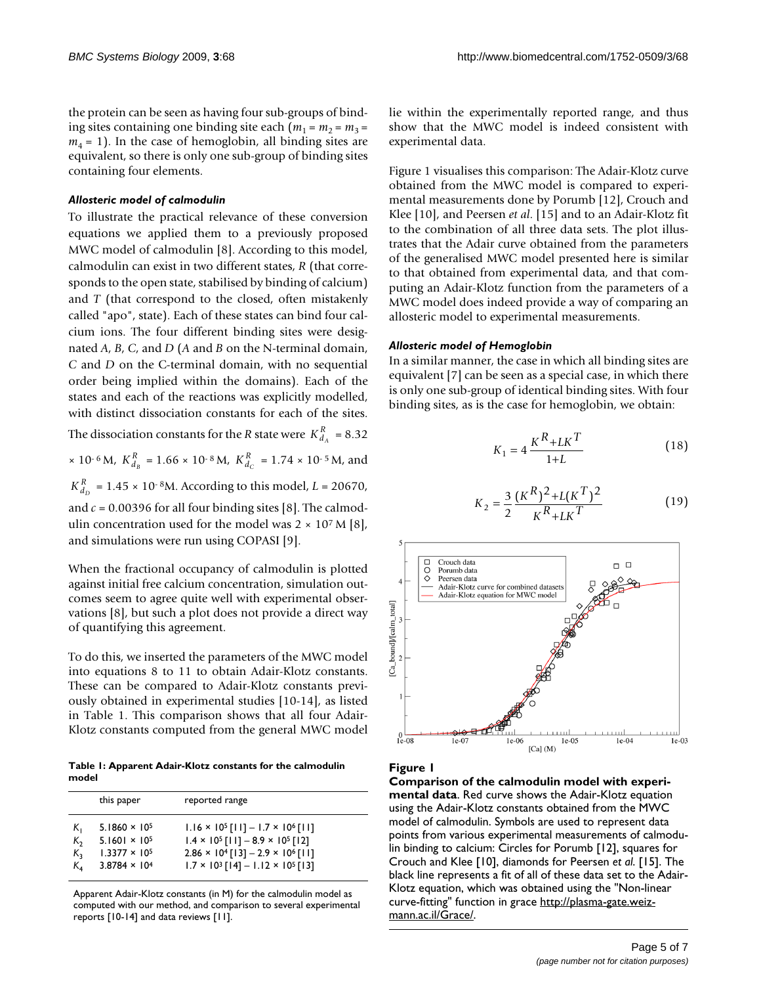the protein can be seen as having four sub-groups of binding sites containing one binding site each  $(m_1 = m_2 = m_3 =$  $m_4$  = 1). In the case of hemoglobin, all binding sites are equivalent, so there is only one sub-group of binding sites containing four elements.

#### *Allosteric model of calmodulin*

To illustrate the practical relevance of these conversion equations we applied them to a previously proposed MWC model of calmodulin [8]. According to this model, calmodulin can exist in two different states, *R* (that corresponds to the open state, stabilised by binding of calcium) and *T* (that correspond to the closed, often mistakenly called "apo", state). Each of these states can bind four calcium ions. The four different binding sites were designated *A*, *B*, *C*, and *D* (*A* and *B* on the N-terminal domain, *C* and *D* on the C-terminal domain, with no sequential order being implied within the domains). Each of the states and each of the reactions was explicitly modelled, with distinct dissociation constants for each of the sites.

The dissociation constants for the *R* state were  $K_{d_A}^R = 8.32$ *A*

 $\times$  10<sup>-6</sup> M,  $K_{d_B}^R$  = 1.66  $\times$  10<sup>-8</sup> M,  $K_{d_C}^R$  = 1.74  $\times$  10<sup>-5</sup> M, and *C*

 $K_{d_p}^R$  = 1.45 × 10<sup>-8</sup>M. According to this model, *L* = 20670, *D*

and  $c = 0.00396$  for all four binding sites [8]. The calmodulin concentration used for the model was  $2 \times 10^7$  M [8], and simulations were run using COPASI [9].

When the fractional occupancy of calmodulin is plotted against initial free calcium concentration, simulation outcomes seem to agree quite well with experimental observations [8], but such a plot does not provide a direct way of quantifying this agreement.

To do this, we inserted the parameters of the MWC model into equations 8 to 11 to obtain Adair-Klotz constants. These can be compared to Adair-Klotz constants previously obtained in experimental studies [10-14], as listed in Table 1. This comparison shows that all four Adair-Klotz constants computed from the general MWC model

**Table 1: Apparent Adair-Klotz constants for the calmodulin model**

|         | this paper             | reported range                                                |
|---------|------------------------|---------------------------------------------------------------|
| K,      | $5.1860 \times 10^{5}$ | $1.16 \times 10^{5}$ [11] - 1.7 $\times$ 10 <sup>6</sup> [11] |
| $K_{2}$ | $5.1601 \times 10^{5}$ | $1.4 \times 10^5$ [11] - 8.9 $\times$ 10 <sup>5</sup> [12]    |
| K,      | $1.3377 \times 10^{5}$ | $2.86 \times 10^{4}$ [13] - 2.9 $\times$ 10 <sup>6</sup> [11] |
| Κ,      | $3.8784 \times 10^{4}$ | $1.7 \times 10^3$ [14] - 1.12 × 10 <sup>5</sup> [13]          |

Apparent Adair-Klotz constants (in M) for the calmodulin model as computed with our method, and comparison to several experimental reports [10-14] and data reviews [11].

lie within the experimentally reported range, and thus show that the MWC model is indeed consistent with experimental data.

Figure 1 visualises this comparison: The Adair-Klotz curve obtained from the MWC model is compared to experimental measurements done by Porumb [12], Crouch and Klee [10], and Peersen *et al*. [15] and to an Adair-Klotz fit to the combination of all three data sets. The plot illustrates that the Adair curve obtained from the parameters of the generalised MWC model presented here is similar to that obtained from experimental data, and that computing an Adair-Klotz function from the parameters of a MWC model does indeed provide a way of comparing an allosteric model to experimental measurements.

## *Allosteric model of Hemoglobin*

In a similar manner, the case in which all binding sites are equivalent [7] can be seen as a special case, in which there is only one sub-group of identical binding sites. With four binding sites, as is the case for hemoglobin, we obtain:

$$
K_1 = 4 \frac{K^R + LK^T}{1 + L}
$$
 (18)

$$
K_2 = \frac{3}{2} \frac{(K^R)^2 + L(K^T)^2}{K^R + LK^T}
$$
 (19)



# Figure 1

**Comparison of the calmodulin model with experimental data**. Red curve shows the Adair-Klotz equation using the Adair-Klotz constants obtained from the MWC model of calmodulin. Symbols are used to represent data points from various experimental measurements of calmodulin binding to calcium: Circles for Porumb [12], squares for Crouch and Klee [10], diamonds for Peersen *et al*. [15]. The black line represents a fit of all of these data set to the Adair-Klotz equation, which was obtained using the "Non-linear curve-fitting" function in grace [http://plasma-gate.weiz](http://plasma-gate.weizmann.ac.il/Grace/)[mann.ac.il/Grace/](http://plasma-gate.weizmann.ac.il/Grace/).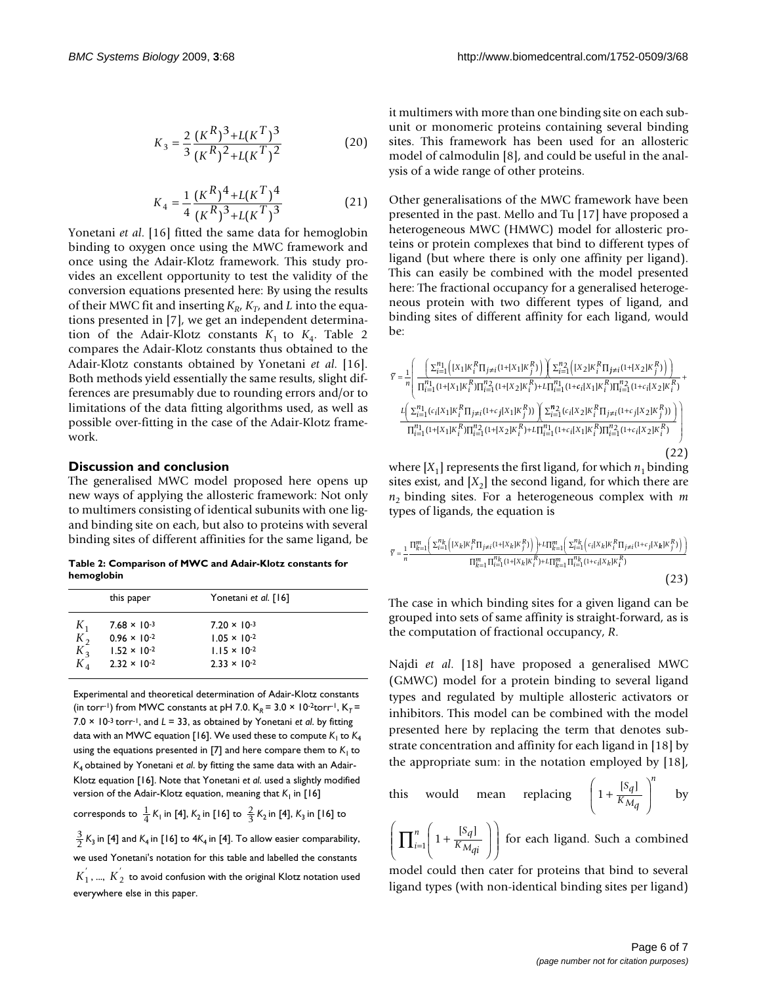$$
K_3 = \frac{2}{3} \frac{(K^R)^3 + L(K^T)^3}{(K^R)^2 + L(K^T)^2}
$$
 (20)

$$
K_4 = \frac{1}{4} \frac{(K^R)^4 + L(K^T)^4}{(K^R)^3 + L(K^T)^3}
$$
 (21)

Yonetani *et al.* [16] fitted the same data for hemoglobin binding to oxygen once using the MWC framework and once using the Adair-Klotz framework. This study provides an excellent opportunity to test the validity of the conversion equations presented here: By using the results of their MWC fit and inserting  $K_R$ ,  $K_T$ , and *L* into the equations presented in [7], we get an independent determination of the Adair-Klotz constants  $K_1$  to  $K_4$ . Table 2 compares the Adair-Klotz constants thus obtained to the Adair-Klotz constants obtained by Yonetani *et al*. [16]. Both methods yield essentially the same results, slight differences are presumably due to rounding errors and/or to limitations of the data fitting algorithms used, as well as possible over-fitting in the case of the Adair-Klotz framework.

#### **Discussion and conclusion**

The generalised MWC model proposed here opens up new ways of applying the allosteric framework: Not only to multimers consisting of identical subunits with one ligand binding site on each, but also to proteins with several binding sites of different affinities for the same ligand, be

**Table 2: Comparison of MWC and Adair-Klotz constants for hemoglobin**

|       | this paper            | Yonetani et al. [16]  |  |
|-------|-----------------------|-----------------------|--|
| $K_1$ | $7.68 \times 10^{-3}$ | $7.20 \times 10^{-3}$ |  |
| $K_2$ | $0.96 \times 10^{-2}$ | $1.05 \times 10^{-2}$ |  |
| $K_3$ | $1.52 \times 10^{-2}$ | $1.15 \times 10^{-2}$ |  |
| $K_A$ | $2.32 \times 10^{-2}$ | $2.33 \times 10^{-2}$ |  |

Experimental and theoretical determination of Adair-Klotz constants (in torr<sup>-1</sup>) from MWC constants at pH 7.0.  $K_R = 3.0 \times 10^{-2}$ torr<sup>-1</sup>,  $K_T =$  $7.0 \times 10^{-3}$  torr<sup>-1</sup>, and  $L = 33$ , as obtained by Yonetani *et al.* by fitting data with an MWC equation [16]. We used these to compute  $K_1$  to  $K_4$ using the equations presented in [7] and here compare them to  $K<sub>1</sub>$  to *K*4 obtained by Yonetani *et al*. by fitting the same data with an Adair-Klotz equation [16]. Note that Yonetani *et al*. used a slightly modified version of the Adair-Klotz equation, meaning that *K*<sub>1</sub> in [16]

corresponds to  $\frac{1}{4}K_1$  in [4],  $K_2$  in [16] to  $\frac{2}{3}K_2$  in [4],  $K_3$  in [16] to

 $\frac{3}{2}$  K<sub>3</sub> in [4] and K<sub>4</sub> in [16] to 4K<sub>4</sub> in [4]. To allow easier comparability, we used Yonetani's notation for this table and labelled the constants  $K_1^{'},$  ...,  $K_2^{'}$  to avoid confusion with the original Klotz notation used everywhere else in this paper. 2

it multimers with more than one binding site on each subunit or monomeric proteins containing several binding sites. This framework has been used for an allosteric model of calmodulin [8], and could be useful in the analysis of a wide range of other proteins.

Other generalisations of the MWC framework have been presented in the past. Mello and Tu [17] have proposed a heterogeneous MWC (HMWC) model for allosteric proteins or protein complexes that bind to different types of ligand (but where there is only one affinity per ligand). This can easily be combined with the model presented here: The fractional occupancy for a generalised heterogeneous protein with two different types of ligand, and binding sites of different affinity for each ligand, would be:

$$
\bar{Y} = \frac{1}{n} \left( \frac{\sum_{i=1}^{n_1} \left( [X_1] K_i^R \Pi_{j \neq i} (1 + [X_1] K_j^R) \right) \left( \sum_{i=1}^{n_2} \left( [X_2] K_i^R \Pi_{j \neq i} (1 + [X_2] K_j^R) \right) \right)}{\Pi_{i=1}^{n_1} (1 + [X_1] K_i^R) \Pi_{i=1}^{n_2} (1 + [X_2] K_i^R) + L \Pi_{i=1}^{n_1} (1 + \epsilon_i [X_1] K_i^R) \Pi_{i=1}^{n_2} (1 + \epsilon_i [X_2] K_i^R)} + \frac{L \left( \sum_{i=1}^{n_1} (c_i [X_1] K_i^R \Pi_{j \neq i} (1 + c_j [X_1] K_j^R) ) \right) \left( \sum_{i=1}^{n_2} (c_i [X_2] K_i^R \Pi_{j \neq i} (1 + c_j [X_2] K_j^R) ) \right)}{\Pi_{i=1}^{n_1} (1 + [X_1] K_i^R) \Pi_{i=1}^{n_2} (1 + [X_2] K_i^R) + L \Pi_{i=1}^{n_1} (1 + \epsilon_i [X_1] K_i^R) \Pi_{i=1}^{n_2} (1 + \epsilon_i [X_2] K_i^R)} \tag{22}
$$

where  $[X_1]$  represents the first ligand, for which  $n_1$  binding sites exist, and  $[X_2]$  the second ligand, for which there are  $n_2$  binding sites. For a heterogeneous complex with  $m$ types of ligands, the equation is

$$
\bar{Y} = \frac{1}{n} \frac{\Pi_{k=1}^{m} \left( \sum_{i=1}^{n_k} \left( [X_k] K_i^R \Pi_{j \neq i} (1 + [X_k] K_j^R) \right) \right) + L \Pi_{k=1}^{m} \left( \sum_{i=1}^{n_k} \left( c_i [X_k] K_i^R \Pi_{j \neq i} (1 + c_j [X_k] K_j^R) \right) \right)}{\prod_{k=1}^{m} \Pi_{i=1}^{n_k} (1 + [X_k] K_i^R) + L \Pi_{k=1}^{m} \Pi_{i=1}^{n_k} (1 + c_i [X_k] K_i^R)}
$$
\n(23)

The case in which binding sites for a given ligand can be grouped into sets of same affinity is straight-forward, as is the computation of fractional occupancy, *R*.

Najdi *et al*. [18] have proposed a generalised MWC (GMWC) model for a protein binding to several ligand types and regulated by multiple allosteric activators or inhibitors. This model can be combined with the model presented here by replacing the term that denotes substrate concentration and affinity for each ligand in [18] by the appropriate sum: in the notation employed by [18],

this would mean replacing 
$$
\left(1 + \frac{[S_q]}{K_{M_q}}\right)^n
$$
 by

 $\left(1 + \frac{[S_q]}{K_{M_{q_i}}} \right)$  for each ligand. Such a combined ⎝  $\left(1+\frac{[S_q]}{K_M}\right)$ ⎠  $\left(\prod_{i=1}^n \left(1 + \frac{[S_q]}{K_{\mathcal{M}_{q,i}}}\right)\right)$ ⎝  $\parallel$  $\lambda$  $\prod_{i=1}^{n} \left(1 + \frac{[S_q]}{K_{M_{qi}}} \right)$  $\left| \begin{array}{ccc} i=1 & I & K_{Mq} \end{array} \right|$ *n*

model could then cater for proteins that bind to several ligand types (with non-identical binding sites per ligand)